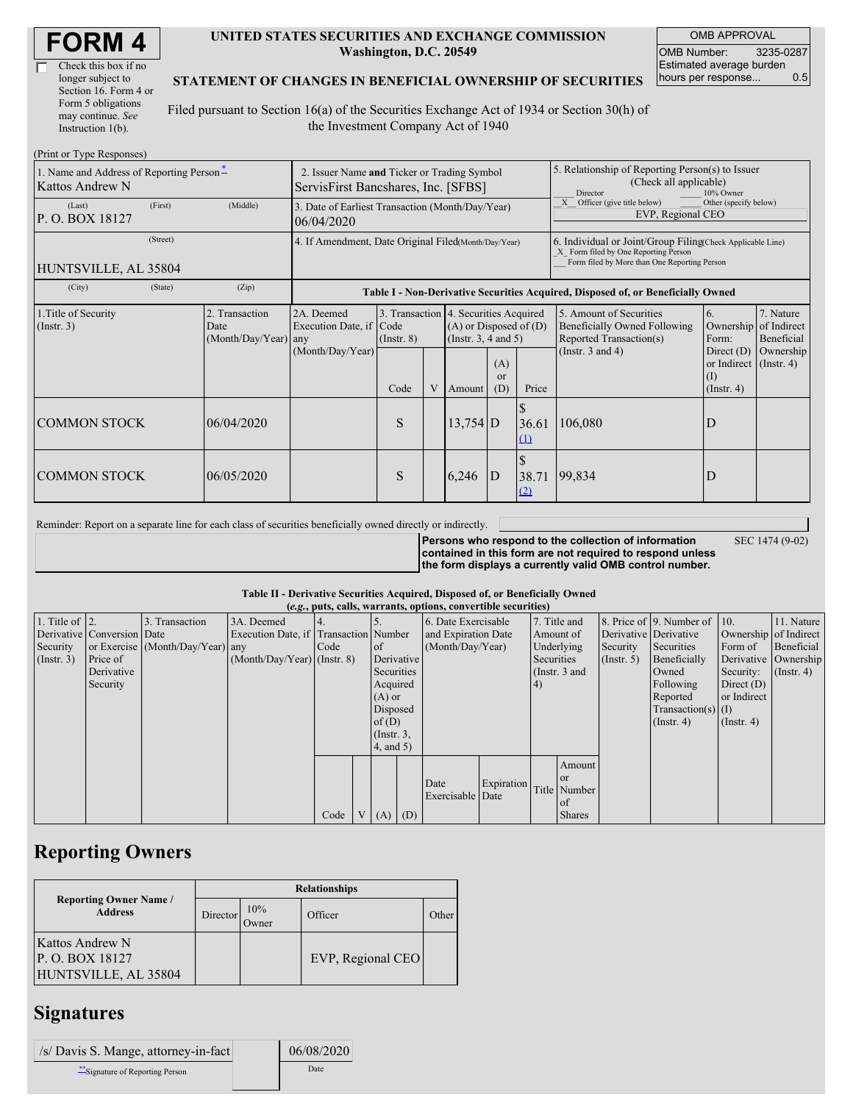| Check this box if no  |
|-----------------------|
| longer subject to     |
| Section 16. Form 4 or |
| Form 5 obligations    |
| may continue. See     |
| Instruction $1(b)$ .  |

#### **UNITED STATES SECURITIES AND EXCHANGE COMMISSION Washington, D.C. 20549**

OMB APPROVAL OMB Number: 3235-0287 Estimated average burden hours per response... 0.5

#### **STATEMENT OF CHANGES IN BENEFICIAL OWNERSHIP OF SECURITIES**

Filed pursuant to Section 16(a) of the Securities Exchange Act of 1934 or Section 30(h) of the Investment Company Act of 1940

| (Print or Type Responses)                                   |                                                                                                                                                                                                           |            |                                                                                  |                                                                                                                                                          |   |            |                                                                                                                                                    |              |                                                                            |                                                                              |           |  |
|-------------------------------------------------------------|-----------------------------------------------------------------------------------------------------------------------------------------------------------------------------------------------------------|------------|----------------------------------------------------------------------------------|----------------------------------------------------------------------------------------------------------------------------------------------------------|---|------------|----------------------------------------------------------------------------------------------------------------------------------------------------|--------------|----------------------------------------------------------------------------|------------------------------------------------------------------------------|-----------|--|
| 1. Name and Address of Reporting Person-<br>Kattos Andrew N | 2. Issuer Name and Ticker or Trading Symbol<br>ServisFirst Bancshares, Inc. [SFBS]                                                                                                                        |            |                                                                                  |                                                                                                                                                          |   |            | 5. Relationship of Reporting Person(s) to Issuer<br>(Check all applicable)<br>Director<br>10% Owner                                                |              |                                                                            |                                                                              |           |  |
| (Last)<br>P.O. BOX 18127                                    | (First)                                                                                                                                                                                                   | (Middle)   | 3. Date of Earliest Transaction (Month/Day/Year)<br>06/04/2020                   |                                                                                                                                                          |   |            |                                                                                                                                                    |              | X Officer (give title below)<br>Other (specify below)<br>EVP, Regional CEO |                                                                              |           |  |
| HUNTSVILLE, AL 35804                                        | 4. If Amendment, Date Original Filed(Month/Day/Year)                                                                                                                                                      |            |                                                                                  |                                                                                                                                                          |   |            | 6. Individual or Joint/Group Filing(Check Applicable Line)<br>X Form filed by One Reporting Person<br>Form filed by More than One Reporting Person |              |                                                                            |                                                                              |           |  |
| (City)                                                      | (State)                                                                                                                                                                                                   | (Zip)      | Table I - Non-Derivative Securities Acquired, Disposed of, or Beneficially Owned |                                                                                                                                                          |   |            |                                                                                                                                                    |              |                                                                            |                                                                              |           |  |
| 1. Title of Security<br>$($ Instr. 3 $)$                    | 3. Transaction 4. Securities Acquired<br>2A. Deemed<br>2. Transaction<br>Execution Date, if Code<br>$(A)$ or Disposed of $(D)$<br>Date<br>(Month/Day/Year) any<br>(Insert. 3, 4 and 5)<br>$($ Instr. $8)$ |            |                                                                                  | 5. Amount of Securities<br>6.<br>7. Nature<br>of Indirect<br>Beneficially Owned Following<br>Ownership<br>Form:<br>Reported Transaction(s)<br>Beneficial |   |            |                                                                                                                                                    |              |                                                                            |                                                                              |           |  |
|                                                             |                                                                                                                                                                                                           |            | (Month/Day/Year)                                                                 | Code                                                                                                                                                     | V | Amount     | (A)<br><sub>or</sub><br>(D)                                                                                                                        | Price        | (Instr. $3$ and $4$ )                                                      | Direct $(D)$<br>or Indirect $($ Instr. 4 $)$<br>$\rm(I)$<br>$($ Instr. 4 $)$ | Ownership |  |
| <b>COMMON STOCK</b>                                         |                                                                                                                                                                                                           | 06/04/2020 |                                                                                  | S                                                                                                                                                        |   | $13,754$ D |                                                                                                                                                    | 36.61<br>(1) | 106,080                                                                    | D                                                                            |           |  |
| <b>COMMON STOCK</b>                                         |                                                                                                                                                                                                           | 06/05/2020 |                                                                                  | S                                                                                                                                                        |   | 6,246      | D                                                                                                                                                  | 38.71<br>(2) | 99,834                                                                     |                                                                              |           |  |

Reminder: Report on a separate line for each class of securities beneficially owned directly or indirectly.

**Persons who respond to the collection of information contained in this form are not required to respond unless the form displays a currently valid OMB control number.**

SEC 1474 (9-02)

**Table II - Derivative Securities Acquired, Disposed of, or Beneficially Owned**

| (e.g., puts, calls, warrants, options, convertible securities) |                            |                                  |                                       |      |                |                 |            |                          |            |            |               |                       |                              |                  |                       |
|----------------------------------------------------------------|----------------------------|----------------------------------|---------------------------------------|------|----------------|-----------------|------------|--------------------------|------------|------------|---------------|-----------------------|------------------------------|------------------|-----------------------|
| 1. Title of $\vert$ 2.                                         |                            | 3. Transaction                   | 3A. Deemed                            |      |                |                 |            | 6. Date Exercisable      |            |            | 7. Title and  |                       | 8. Price of 9. Number of 10. |                  | 11. Nature            |
|                                                                | Derivative Conversion Date |                                  | Execution Date, if Transaction Number |      |                |                 |            | and Expiration Date      |            |            | Amount of     | Derivative Derivative |                              |                  | Ownership of Indirect |
| Security                                                       |                            | or Exercise (Month/Day/Year) any |                                       | Code |                | $\circ$ f       |            | (Month/Day/Year)         |            | Underlying |               | Security              | Securities                   | Form of          | Beneficial            |
| (Insert. 3)                                                    | Price of                   |                                  | $(Month/Day/Year)$ (Instr. 8)         |      |                |                 | Derivative |                          |            | Securities |               | (Insert, 5)           | Beneficially                 |                  | Derivative Ownership  |
|                                                                | Derivative                 |                                  |                                       |      |                | Securities      |            |                          |            |            | (Instr. 3 and |                       | Owned                        | Security:        | $($ Instr. 4 $)$      |
|                                                                | Security                   |                                  |                                       |      |                | Acquired        |            |                          |            | (4)        |               |                       | Following                    | Direct $(D)$     |                       |
|                                                                |                            |                                  |                                       |      |                | $(A)$ or        |            |                          |            |            |               |                       | Reported                     | or Indirect      |                       |
|                                                                |                            |                                  |                                       |      |                | Disposed        |            |                          |            |            |               |                       | $Transaction(s)$ (I)         |                  |                       |
|                                                                |                            |                                  |                                       |      |                | of $(D)$        |            |                          |            |            |               |                       | $($ Instr. 4 $)$             | $($ Instr. 4 $)$ |                       |
|                                                                |                            |                                  |                                       |      |                | $($ Instr. $3,$ |            |                          |            |            |               |                       |                              |                  |                       |
|                                                                |                            |                                  |                                       |      |                | 4, and 5)       |            |                          |            |            |               |                       |                              |                  |                       |
|                                                                |                            |                                  |                                       |      |                |                 |            |                          |            |            | Amount        |                       |                              |                  |                       |
|                                                                |                            |                                  |                                       |      |                |                 |            |                          |            |            | <b>or</b>     |                       |                              |                  |                       |
|                                                                |                            |                                  |                                       |      |                |                 |            | Date<br>Exercisable Date | Expiration |            | Title Number  |                       |                              |                  |                       |
|                                                                |                            |                                  |                                       |      |                |                 |            |                          |            |            | <sub>of</sub> |                       |                              |                  |                       |
|                                                                |                            |                                  |                                       | Code | V <sub>1</sub> | $(A)$ $(D)$     |            |                          |            |            | <b>Shares</b> |                       |                              |                  |                       |

# **Reporting Owners**

|                                                                  | <b>Relationships</b> |              |                   |       |  |  |  |  |  |
|------------------------------------------------------------------|----------------------|--------------|-------------------|-------|--|--|--|--|--|
| <b>Reporting Owner Name /</b><br><b>Address</b>                  | Director             | 10%<br>Owner | Officer           | 0ther |  |  |  |  |  |
| <b>Kattos Andrew N</b><br>P.O. BOX 18127<br>HUNTSVILLE, AL 35804 |                      |              | EVP, Regional CEO |       |  |  |  |  |  |

### **Signatures**

| /s/ Davis S. Mange, attorney-in-fact | 06/08/2020 |
|--------------------------------------|------------|
| Signature of Reporting Person        | Date       |